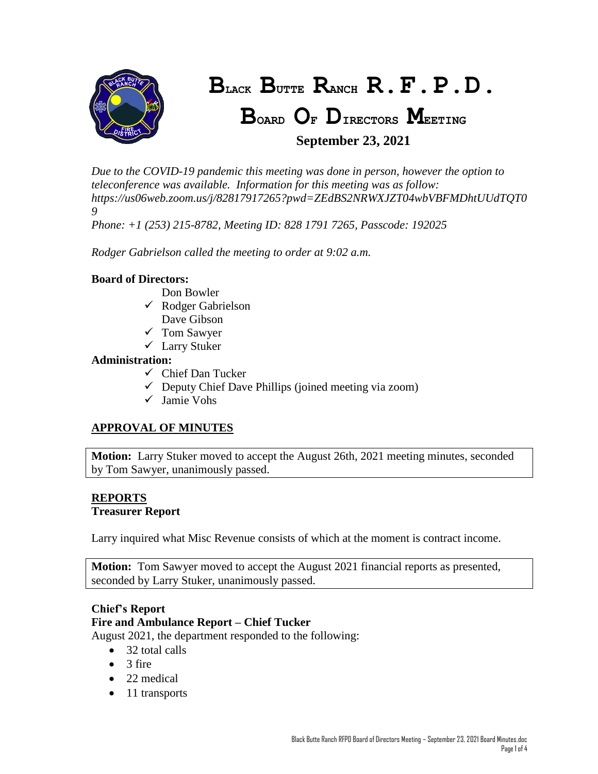

# **BLACK BUTTE RANCH R.F.P.D.**

# **BOARD O<sup>F</sup> DIRECTORS MEETING September 23, 2021**

*Due to the COVID-19 pandemic this meeting was done in person, however the option to teleconference was available. Information for this meeting was as follow: https://us06web.zoom.us/j/82817917265?pwd=ZEdBS2NRWXJZT04wbVBFMDhtUUdTQT0 9*

*Phone: +1 (253) 215-8782, Meeting ID: 828 1791 7265, Passcode: 192025*

*Rodger Gabrielson called the meeting to order at 9:02 a.m.*

# **Board of Directors:**

- Don Bowler
- $\checkmark$  Rodger Gabrielson Dave Gibson
- 
- $\checkmark$  Tom Sawyer Larry Stuker

# **Administration:**

- $\checkmark$  Chief Dan Tucker
- $\checkmark$  Deputy Chief Dave Phillips (joined meeting via zoom)
- Jamie Vohs

# **APPROVAL OF MINUTES**

**Motion:** Larry Stuker moved to accept the August 26th, 2021 meeting minutes, seconded by Tom Sawyer, unanimously passed.

#### **REPORTS Treasurer Report**

Larry inquired what Misc Revenue consists of which at the moment is contract income.

**Motion:** Tom Sawyer moved to accept the August 2021 financial reports as presented, seconded by Larry Stuker, unanimously passed.

# **Chief's Report**

# **Fire and Ambulance Report – Chief Tucker**

August 2021, the department responded to the following:

- 32 total calls
- $\bullet$  3 fire
- 22 medical
- 11 transports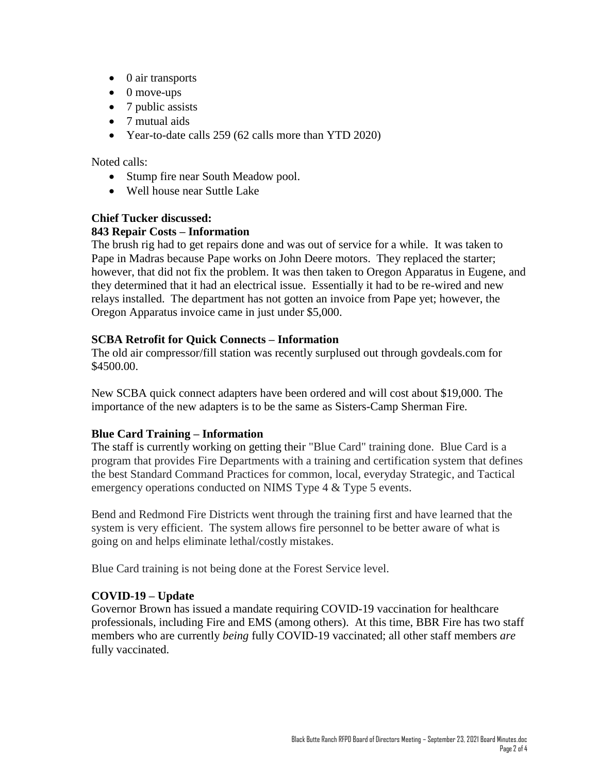- $\bullet$  0 air transports
- $\bullet$  0 move-ups
- 7 public assists
- 7 mutual aids
- Year-to-date calls 259 (62 calls more than YTD 2020)

#### Noted calls:

- Stump fire near South Meadow pool.
- Well house near Suttle Lake

# **Chief Tucker discussed:**

# **843 Repair Costs – Information**

The brush rig had to get repairs done and was out of service for a while. It was taken to Pape in Madras because Pape works on John Deere motors. They replaced the starter; however, that did not fix the problem. It was then taken to Oregon Apparatus in Eugene, and they determined that it had an electrical issue. Essentially it had to be re-wired and new relays installed. The department has not gotten an invoice from Pape yet; however, the Oregon Apparatus invoice came in just under \$5,000.

# **SCBA Retrofit for Quick Connects – Information**

The old air compressor/fill station was recently surplused out through govdeals.com for \$4500.00.

New SCBA quick connect adapters have been ordered and will cost about \$19,000. The importance of the new adapters is to be the same as Sisters-Camp Sherman Fire.

# **Blue Card Training – Information**

The staff is currently working on getting their "Blue Card" training done. Blue Card is a program that provides Fire Departments with a training and certification system that defines the best Standard Command Practices for common, local, everyday Strategic, and Tactical emergency operations conducted on NIMS Type 4 & Type 5 events.

Bend and Redmond Fire Districts went through the training first and have learned that the system is very efficient. The system allows fire personnel to be better aware of what is going on and helps eliminate lethal/costly mistakes.

Blue Card training is not being done at the Forest Service level.

# **COVID-19 – Update**

Governor Brown has issued a mandate requiring COVID-19 vaccination for healthcare professionals, including Fire and EMS (among others). At this time, BBR Fire has two staff members who are currently *being* fully COVID-19 vaccinated; all other staff members *are* fully vaccinated.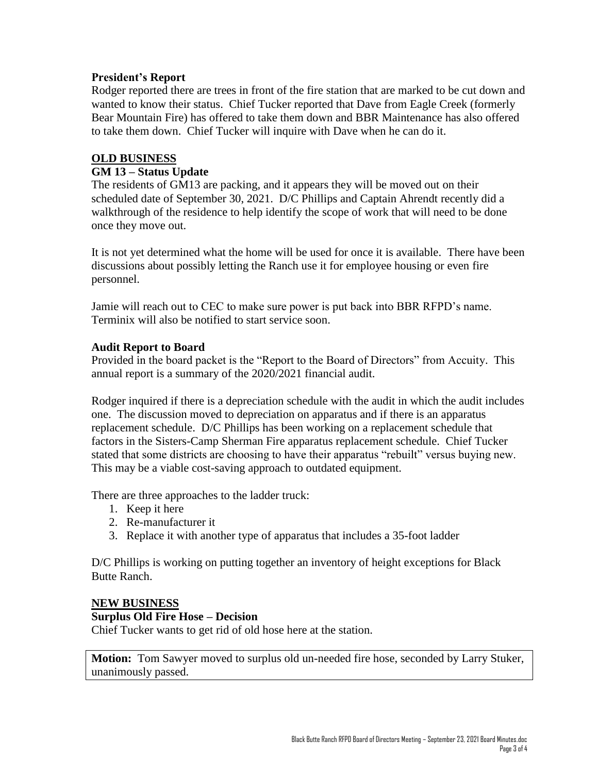# **President's Report**

Rodger reported there are trees in front of the fire station that are marked to be cut down and wanted to know their status. Chief Tucker reported that Dave from Eagle Creek (formerly Bear Mountain Fire) has offered to take them down and BBR Maintenance has also offered to take them down. Chief Tucker will inquire with Dave when he can do it.

# **OLD BUSINESS**

# **GM 13 – Status Update**

The residents of GM13 are packing, and it appears they will be moved out on their scheduled date of September 30, 2021. D/C Phillips and Captain Ahrendt recently did a walkthrough of the residence to help identify the scope of work that will need to be done once they move out.

It is not yet determined what the home will be used for once it is available. There have been discussions about possibly letting the Ranch use it for employee housing or even fire personnel.

Jamie will reach out to CEC to make sure power is put back into BBR RFPD's name. Terminix will also be notified to start service soon.

# **Audit Report to Board**

Provided in the board packet is the "Report to the Board of Directors" from Accuity. This annual report is a summary of the 2020/2021 financial audit.

Rodger inquired if there is a depreciation schedule with the audit in which the audit includes one. The discussion moved to depreciation on apparatus and if there is an apparatus replacement schedule. D/C Phillips has been working on a replacement schedule that factors in the Sisters-Camp Sherman Fire apparatus replacement schedule. Chief Tucker stated that some districts are choosing to have their apparatus "rebuilt" versus buying new. This may be a viable cost-saving approach to outdated equipment.

There are three approaches to the ladder truck:

- 1. Keep it here
- 2. Re-manufacturer it
- 3. Replace it with another type of apparatus that includes a 35-foot ladder

D/C Phillips is working on putting together an inventory of height exceptions for Black Butte Ranch.

# **NEW BUSINESS**

# **Surplus Old Fire Hose – Decision**

Chief Tucker wants to get rid of old hose here at the station.

**Motion:** Tom Sawyer moved to surplus old un-needed fire hose, seconded by Larry Stuker, unanimously passed.